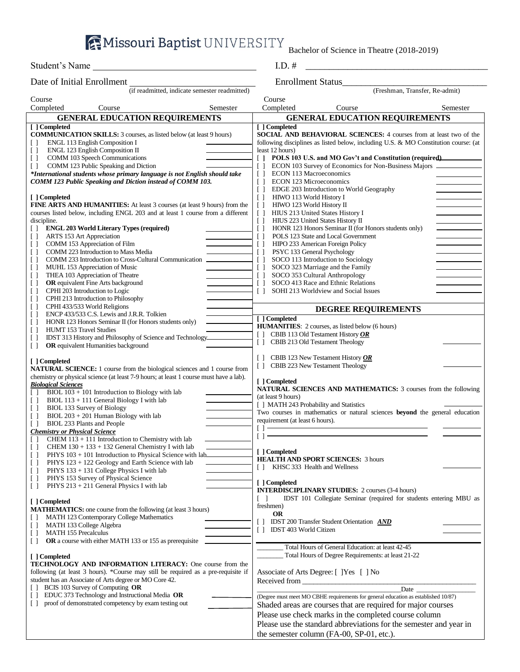**AMissouri Baptist UNIVERSITY** 

Bachelor of Science in Theatre (2018-2019)

| Student's Name                                                                                       | $I.D.$ #                                                                                                       |  |  |
|------------------------------------------------------------------------------------------------------|----------------------------------------------------------------------------------------------------------------|--|--|
| Date of Initial Enrollment                                                                           | <b>Enrollment Status</b>                                                                                       |  |  |
| (if readmitted, indicate semester readmitted)                                                        | (Freshman, Transfer, Re-admit)                                                                                 |  |  |
| Course                                                                                               | Course                                                                                                         |  |  |
| Completed<br>Course<br>Semester                                                                      | Completed<br>Course<br>Semester                                                                                |  |  |
| <b>GENERAL EDUCATION REQUIREMENTS</b>                                                                | <b>GENERAL EDUCATION REQUIREMENTS</b>                                                                          |  |  |
| [ ] Completed                                                                                        | [ ] Completed                                                                                                  |  |  |
| <b>COMMUNICATION SKILLS:</b> 3 courses, as listed below (at least 9 hours)                           | <b>SOCIAL AND BEHAVIORAL SCIENCES:</b> 4 courses from at least two of the                                      |  |  |
| ENGL 113 English Composition I<br>U.                                                                 | following disciplines as listed below, including U.S. & MO Constitution course: (at                            |  |  |
| ENGL 123 English Composition II<br>[]<br>COMM 103 Speech Communications                              | least 12 hours)<br>POLS 103 U.S. and MO Gov't and Constitution (required)<br>L.                                |  |  |
| $\Box$<br>COMM 123 Public Speaking and Diction<br>$\Box$                                             | ECON 103 Survey of Economics for Non-Business Majors -<br>$\Box$                                               |  |  |
| *International students whose primary language is not English should take                            | ECON 113 Macroeconomics<br>$\Box$                                                                              |  |  |
| COMM 123 Public Speaking and Diction instead of COMM 103.                                            | $\Box$<br>ECON 123 Microeconomics                                                                              |  |  |
|                                                                                                      | EDGE 203 Introduction to World Geography<br>$\Box$                                                             |  |  |
| [ ] Completed                                                                                        | HIWO 113 World History I<br>$\Box$                                                                             |  |  |
| <b>FINE ARTS AND HUMANITIES:</b> At least 3 courses (at least 9 hours) from the                      | HIWO 123 World History II<br>$\Box$                                                                            |  |  |
| courses listed below, including ENGL 203 and at least 1 course from a different                      | $\Box$<br>HIUS 213 United States History I                                                                     |  |  |
| discipline.<br>[] ENGL 203 World Literary Types (required)                                           | HIUS 223 United States History II<br>$\Box$<br>$\Box$<br>HONR 123 Honors Seminar II (for Honors students only) |  |  |
| ARTS 153 Art Appreciation<br>U.                                                                      | POLS 123 State and Local Government<br>$\Box$                                                                  |  |  |
| COMM 153 Appreciation of Film<br>$\Box$                                                              | HIPO 233 American Foreign Policy<br>$[ \ ]$                                                                    |  |  |
| COMM 223 Introduction to Mass Media<br>U.                                                            | PSYC 133 General Psychology<br>$\Box$                                                                          |  |  |
| COMM 233 Introduction to Cross-Cultural Communication<br>$\Box$                                      | SOCO 113 Introduction to Sociology<br>$\Box$                                                                   |  |  |
| MUHL 153 Appreciation of Music<br>$\Box$                                                             | SOCO 323 Marriage and the Family<br>$\Box$                                                                     |  |  |
| THEA 103 Appreciation of Theatre<br>[]                                                               | SOCO 353 Cultural Anthropology<br>$\Box$                                                                       |  |  |
| <b>OR</b> equivalent Fine Arts background<br>$\Box$<br>CPHI 203 Introduction to Logic                | SOCO 413 Race and Ethnic Relations<br>$\Box$<br>SOHI 213 Worldview and Social Issues<br>$\Box$                 |  |  |
| [ ]<br>$\Box$<br>CPHI 213 Introduction to Philosophy                                                 |                                                                                                                |  |  |
| []<br>CPHI 433/533 World Religions                                                                   | <b>DEGREE REQUIREMENTS</b>                                                                                     |  |  |
| []<br>ENCP 433/533 C.S. Lewis and J.R.R. Tolkien                                                     |                                                                                                                |  |  |
| []<br>HONR 123 Honors Seminar II (for Honors students only)                                          | [ ] Completed<br><b>HUMANITIES:</b> 2 courses, as listed below (6 hours)                                       |  |  |
| []<br><b>HUMT 153 Travel Studies</b>                                                                 | [] CBIB 113 Old Testament History $OR$                                                                         |  |  |
| IDST 313 History and Philosophy of Science and Technology<br>[]                                      | CBIB 213 Old Testament Theology<br>$\Box$                                                                      |  |  |
| OR equivalent Humanities background<br>U                                                             |                                                                                                                |  |  |
| [ ] Completed                                                                                        | CBIB 123 New Testament History $OR$<br>$\Box$                                                                  |  |  |
| <b>NATURAL SCIENCE:</b> 1 course from the biological sciences and 1 course from                      | CBIB 223 New Testament Theology<br>$\Box$                                                                      |  |  |
| chemistry or physical science (at least 7-9 hours; at least 1 course must have a lab).               |                                                                                                                |  |  |
| <b>Biological Sciences</b>                                                                           | [ ] Completed<br><b>NATURAL SCIENCES AND MATHEMATICS:</b> 3 courses from the following                         |  |  |
| $BIOL 103 + 101$ Introduction to Biology with lab<br>[ ]                                             | (at least 9 hours)                                                                                             |  |  |
| BIOL $113 + 111$ General Biology I with lab<br>[]<br>BIOL 133 Survey of Biology                      | [ ] MATH 243 Probability and Statistics                                                                        |  |  |
| []<br>$BIOL 203 + 201$ Human Biology with lab<br>[]                                                  | Two courses in mathematics or natural sciences beyond the general education                                    |  |  |
| BIOL 233 Plants and People<br>ΙI                                                                     | requirement (at least 6 hours).                                                                                |  |  |
| <b>Chemistry or Physical Science</b>                                                                 | $\Box$                                                                                                         |  |  |
| CHEM $113 + 111$ Introduction to Chemistry with lab                                                  | $\Box$                                                                                                         |  |  |
| $\left[ \begin{array}{c} \end{array} \right]$<br>CHEM $130 + 133 + 132$ General Chemistry I with lab | [ ] Completed                                                                                                  |  |  |
| PHYS 103 + 101 Introduction to Physical Science with lab<br>[ ]                                      | <b>HEALTH AND SPORT SCIENCES: 3 hours</b>                                                                      |  |  |
| $\left[ \begin{array}{c} \end{array} \right]$<br>PHYS 123 + 122 Geology and Earth Science with lab   | $\Box$<br>KHSC 333 Health and Wellness                                                                         |  |  |
| [ ]<br>PHYS 133 + 131 College Physics I with lab<br>PHYS 153 Survey of Physical Science<br>I I       |                                                                                                                |  |  |
| PHYS 213 + 211 General Physics I with lab<br>[]                                                      | [ ] Completed                                                                                                  |  |  |
|                                                                                                      | <b>INTERDISCIPLINARY STUDIES:</b> 2 courses (3-4 hours)                                                        |  |  |
| [ ] Completed                                                                                        | IDST 101 Collegiate Seminar (required for students entering MBU as                                             |  |  |
| <b>MATHEMATICS:</b> one course from the following (at least 3 hours)                                 | freshmen)<br><b>OR</b>                                                                                         |  |  |
| MATH 123 Contemporary College Mathematics<br>$\Box$                                                  | [] IDST 200 Transfer Student Orientation AND                                                                   |  |  |
| MATH 133 College Algebra<br>[]                                                                       | IDST 403 World Citizen<br>$\Box$                                                                               |  |  |
| <b>MATH 155 Precalculus</b><br>$\Box$                                                                |                                                                                                                |  |  |
| OR a course with either MATH 133 or 155 as prerequisite<br>[]                                        | Total Hours of General Education: at least 42-45                                                               |  |  |
| [ ] Completed                                                                                        | Total Hours of Degree Requirements: at least 21-22                                                             |  |  |
| <b>TECHNOLOGY AND INFORMATION LITERACY:</b> One course from the                                      |                                                                                                                |  |  |
| following (at least 3 hours). *Course may still be required as a pre-requisite if                    | Associate of Arts Degree: [ ]Yes [ ] No                                                                        |  |  |
| student has an Associate of Arts degree or MO Core 42.                                               | Received from                                                                                                  |  |  |
| [ ] BCIS 103 Survey of Computing OR                                                                  | Date                                                                                                           |  |  |
| [ ] EDUC 373 Technology and Instructional Media OR                                                   | (Degree must meet MO CBHE requirements for general education as established 10/87)                             |  |  |
| [] proof of demonstrated competency by exam testing out                                              | Shaded areas are courses that are required for major courses                                                   |  |  |
|                                                                                                      | Please use check marks in the completed course column                                                          |  |  |
|                                                                                                      | Please use the standard abbreviations for the semester and year in                                             |  |  |

the semester column (FA-00, SP-01, etc.).